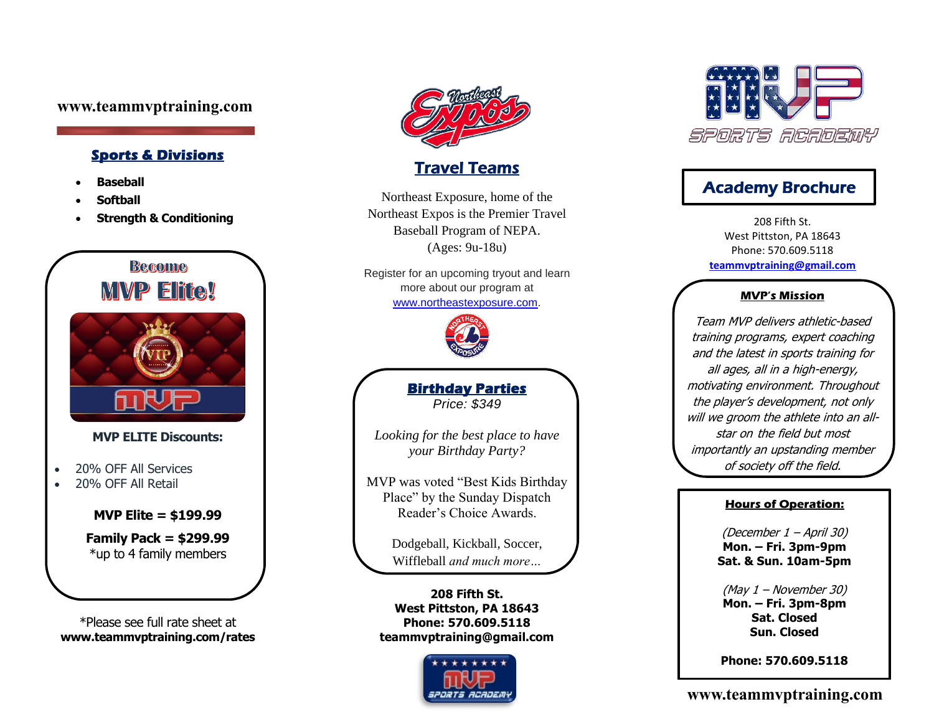## **www.teammvptraining.com**

# **Sports & Divisions**

- **Baseball**
- **Softball**
- **Strength & Conditioning**



\*Please see full rate sheet at **www.teammvptraining.com/rates**



# Travel Teams

Northeast Exposure, home of the Northeast Expos is the Premier Travel Baseball Program of NEPA. (Ages: 9u -18u)

Register for an upcoming tryout and learn more about our program at [www.northeastexposure.com](http://www.northeastexposure.com/).



# **Birthday Parties**

*Price: \$349*

*Looking for the best place to have your Birthday Party?*

MVP was voted "Best Kids Birthday Place" by the Sunday Dispatch Reader's Choice Awards.

> Dodgeball, Kickball, Soccer, Wiffleball *and much more…*

**208 Fifth St. West Pittston, PA 18643 Phone: 570.609.5118 teammvptraining@gmail.com**





# Academy Brochure

208 Fifth St. West Pittston, PA 18643 Phone: 570.609.5118 **[teammvptraining@gmail.com](mailto:teammvptraining@gmail.com)**

#### **MVP's Mission**

Team MVP delivers athletic-based training programs, expert coaching and the latest in sports training for all ages, all in <sup>a</sup> high-energy, motivating environment. Throughout the player's development, not only will we groom the athlete into an allstar on the field but most importantly an upstanding member of society off the field.

#### **Hours of Operation :**

(December 1 – April 30) **Mon. – Fri. 3pm - 9pm Sat. & Sun. 10am - 5pm**

(May 1 – November 30) **Mon. – Fri. 3pm -8pm Sat. Closed Sun. Closed**

**Phone: 570.609.5118**

#### **www.teammvptraining.com**